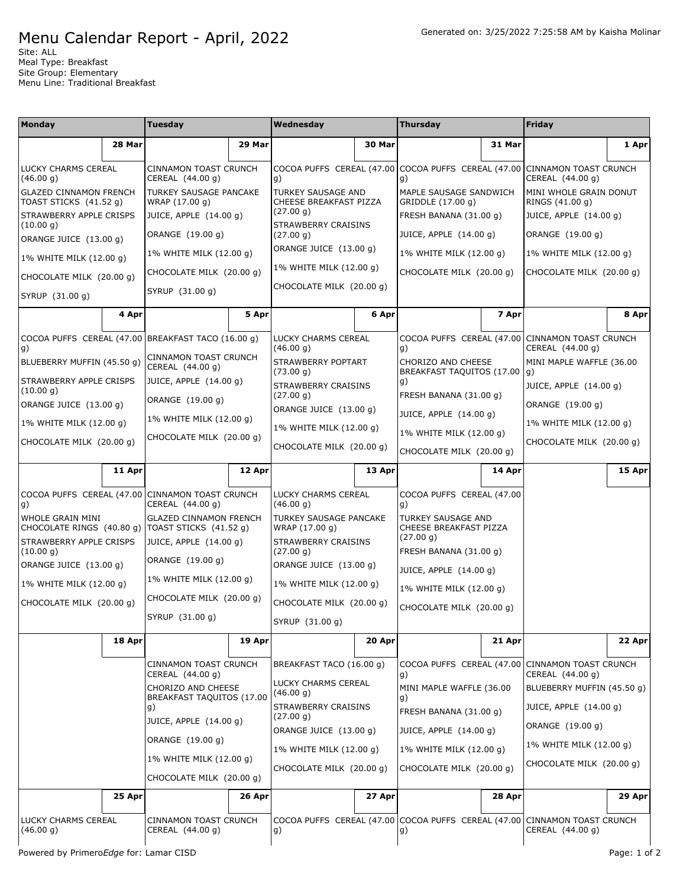## Menu Calendar Report - April, 2022

Site: ALL Meal Type: Breakfast Site Group: Elementary Menu Line: Traditional Breakfast

| <b>Monday</b>                                                          |        | Tuesday                                                                                                                                                    |        | Wednesday                                                                                                                                             |        | <b>Thursday</b>                                                                                                                           |        | <b>Friday</b>                                                       |              |                                           |          |    |        |    |        |                                                                                               |        |
|------------------------------------------------------------------------|--------|------------------------------------------------------------------------------------------------------------------------------------------------------------|--------|-------------------------------------------------------------------------------------------------------------------------------------------------------|--------|-------------------------------------------------------------------------------------------------------------------------------------------|--------|---------------------------------------------------------------------|--------------|-------------------------------------------|----------|----|--------|----|--------|-----------------------------------------------------------------------------------------------|--------|
|                                                                        | 28 Mar |                                                                                                                                                            | 29 Mar |                                                                                                                                                       | 30 Mar |                                                                                                                                           | 31 Mar |                                                                     | 1 Apr        |                                           |          |    |        |    |        |                                                                                               |        |
| LUCKY CHARMS CEREAL<br>(46.00 g)                                       |        | CINNAMON TOAST CRUNCH<br>CEREAL (44.00 g)                                                                                                                  |        | COCOA PUFFS CEREAL (47.00 COCOA PUFFS CEREAL (47.00<br>g)                                                                                             |        | g)                                                                                                                                        |        | CINNAMON TOAST CRUNCH<br>CEREAL (44.00 g)                           |              |                                           |          |    |        |    |        |                                                                                               |        |
| <b>GLAZED CINNAMON FRENCH</b><br>TOAST STICKS (41.52 g)                |        | TURKEY SAUSAGE PANCAKE<br>WRAP (17.00 g)                                                                                                                   |        | <b>TURKEY SAUSAGE AND</b><br>CHEESE BREAKFAST PIZZA                                                                                                   |        | MAPLE SAUSAGE SANDWICH<br>GRIDDLE (17.00 g)                                                                                               |        | MINI WHOLE GRAIN DONUT<br>RINGS (41.00 g)                           |              |                                           |          |    |        |    |        |                                                                                               |        |
| STRAWBERRY APPLE CRISPS                                                |        | JUICE, APPLE (14.00 g)                                                                                                                                     |        | (27.00 g)                                                                                                                                             |        | FRESH BANANA (31.00 g)                                                                                                                    |        | JUICE, APPLE (14.00 g)                                              |              |                                           |          |    |        |    |        |                                                                                               |        |
| (10.00 g)<br>ORANGE JUICE (13.00 g)                                    |        | ORANGE (19.00 g)                                                                                                                                           |        | STRAWBERRY CRAISINS<br>(27.00 g)                                                                                                                      |        | JUICE, APPLE (14.00 g)                                                                                                                    |        | ORANGE (19.00 g)                                                    |              |                                           |          |    |        |    |        |                                                                                               |        |
| 1% WHITE MILK (12.00 q)                                                |        | 1% WHITE MILK (12.00 g)                                                                                                                                    |        | ORANGE JUICE (13.00 g)                                                                                                                                |        | 1% WHITE MILK (12.00 g)                                                                                                                   |        | 1% WHITE MILK (12.00 g)                                             |              |                                           |          |    |        |    |        |                                                                                               |        |
| CHOCOLATE MILK (20.00 q)                                               |        | CHOCOLATE MILK (20.00 q)                                                                                                                                   |        | 1% WHITE MILK (12.00 g)                                                                                                                               |        | CHOCOLATE MILK (20.00 g)                                                                                                                  |        | CHOCOLATE MILK (20.00 g)                                            |              |                                           |          |    |        |    |        |                                                                                               |        |
| SYRUP (31.00 g)                                                        |        | SYRUP (31.00 g)                                                                                                                                            |        | CHOCOLATE MILK (20.00 g)                                                                                                                              |        |                                                                                                                                           |        |                                                                     |              |                                           |          |    |        |    |        |                                                                                               |        |
|                                                                        | 4 Apr  |                                                                                                                                                            | 5 Apr  |                                                                                                                                                       | 6 Apr  |                                                                                                                                           | 7 Apr  |                                                                     | 8 Apr        |                                           |          |    |        |    |        |                                                                                               |        |
|                                                                        |        | COCOA PUFFS CEREAL (47.00 BREAKFAST TACO (16.00 q)                                                                                                         |        | LUCKY CHARMS CEREAL<br>(46.00 g)                                                                                                                      |        | g)                                                                                                                                        |        | COCOA PUFFS CEREAL (47.00 CINNAMON TOAST CRUNCH<br>CEREAL (44.00 g) |              |                                           |          |    |        |    |        |                                                                                               |        |
| g)<br>BLUEBERRY MUFFIN (45.50 g)                                       |        | CINNAMON TOAST CRUNCH<br>CEREAL (44.00 g)                                                                                                                  |        | STRAWBERRY POPTART<br>(73.00 g)                                                                                                                       |        | CHORIZO AND CHEESE<br>BREAKFAST TAQUITOS (17.00   g)                                                                                      |        | MINI MAPLE WAFFLE (36.00                                            |              |                                           |          |    |        |    |        |                                                                                               |        |
| STRAWBERRY APPLE CRISPS                                                |        | JUICE, APPLE (14.00 g)                                                                                                                                     |        | STRAWBERRY CRAISINS                                                                                                                                   |        | g)                                                                                                                                        |        | JUICE, APPLE (14.00 g)                                              |              |                                           |          |    |        |    |        |                                                                                               |        |
| (10.00 g)<br>ORANGE JUICE (13.00 g)                                    |        | ORANGE (19.00 g)                                                                                                                                           |        | (27.00 g)                                                                                                                                             |        | FRESH BANANA (31.00 g)                                                                                                                    |        | ORANGE (19.00 g)                                                    |              |                                           |          |    |        |    |        |                                                                                               |        |
| 1% WHITE MILK (12.00 g)                                                |        | 1% WHITE MILK (12.00 g)                                                                                                                                    |        | ORANGE JUICE (13.00 g)                                                                                                                                |        | JUICE, APPLE (14.00 g)                                                                                                                    |        | 1% WHITE MILK (12.00 g)                                             |              |                                           |          |    |        |    |        |                                                                                               |        |
| CHOCOLATE MILK (20.00 g)                                               |        | CHOCOLATE MILK (20.00 g)                                                                                                                                   |        | 1% WHITE MILK (12.00 g)<br>CHOCOLATE MILK (20.00 g)                                                                                                   |        | 1% WHITE MILK (12.00 g)<br>CHOCOLATE MILK (20.00 g)                                                                                       |        | CHOCOLATE MILK (20.00 g)                                            |              |                                           |          |    |        |    |        |                                                                                               |        |
|                                                                        |        |                                                                                                                                                            |        |                                                                                                                                                       |        |                                                                                                                                           |        |                                                                     |              |                                           |          |    |        |    |        |                                                                                               |        |
|                                                                        | 11 Apr |                                                                                                                                                            | 12 Apr |                                                                                                                                                       | 13 Apr |                                                                                                                                           | 14 Apr |                                                                     | 15 Apr       |                                           |          |    |        |    |        |                                                                                               |        |
| COCOA PUFFS CEREAL (47.00 CINNAMON TOAST CRUNCH<br>g)                  |        | CEREAL (44.00 g)                                                                                                                                           |        | LUCKY CHARMS CEREAL<br>(46.00 g)                                                                                                                      |        | COCOA PUFFS CEREAL (47.00<br>g)                                                                                                           |        |                                                                     |              |                                           |          |    |        |    |        |                                                                                               |        |
| WHOLE GRAIN MINI<br>CHOCOLATE RINGS (40.80 g)   TOAST STICKS (41.52 g) |        | <b>GLAZED CINNAMON FRENCH</b>                                                                                                                              |        | TURKEY SAUSAGE PANCAKE<br>WRAP (17.00 g)                                                                                                              |        | TURKEY SAUSAGE AND<br>CHEESE BREAKFAST PIZZA                                                                                              |        |                                                                     |              |                                           |          |    |        |    |        |                                                                                               |        |
| STRAWBERRY APPLE CRISPS<br>(10.00 g)                                   |        | JUICE, APPLE (14.00 g)                                                                                                                                     |        | STRAWBERRY CRAISINS<br>(27.00 g)                                                                                                                      |        | (27.00 g)<br>FRESH BANANA (31.00 g)                                                                                                       |        |                                                                     |              |                                           |          |    |        |    |        |                                                                                               |        |
| ORANGE JUICE (13.00 g)                                                 |        | ORANGE (19.00 g)                                                                                                                                           |        | ORANGE JUICE (13.00 g)                                                                                                                                |        | JUICE, APPLE (14.00 g)                                                                                                                    |        |                                                                     |              |                                           |          |    |        |    |        |                                                                                               |        |
| 1% WHITE MILK (12.00 g)                                                |        | 1% WHITE MILK (12.00 g)                                                                                                                                    |        | 1% WHITE MILK (12.00 g)                                                                                                                               |        | 1% WHITE MILK (12.00 g)                                                                                                                   |        |                                                                     |              |                                           |          |    |        |    |        |                                                                                               |        |
| CHOCOLATE MILK (20.00 g)                                               |        | CHOCOLATE MILK (20.00 g)                                                                                                                                   |        | CHOCOLATE MILK (20.00 q)                                                                                                                              |        | CHOCOLATE MILK (20.00 g)                                                                                                                  |        |                                                                     |              |                                           |          |    |        |    |        |                                                                                               |        |
|                                                                        |        | SYRUP (31.00 g)                                                                                                                                            |        | SYRUP (31.00 g)                                                                                                                                       |        |                                                                                                                                           |        |                                                                     |              |                                           |          |    |        |    |        |                                                                                               |        |
|                                                                        | 18 Apr |                                                                                                                                                            | 19 Apr |                                                                                                                                                       | 20 Apr |                                                                                                                                           | 21 Apr |                                                                     | 22 Apr       |                                           |          |    |        |    |        |                                                                                               |        |
|                                                                        |        | CINNAMON TOAST CRUNCH<br>CEREAL (44.00 g)                                                                                                                  |        | BREAKFAST TACO (16.00 g)                                                                                                                              |        | COCOA PUFFS CEREAL (47.00<br>g)                                                                                                           |        | CINNAMON TOAST CRUNCH<br>CEREAL (44.00 g)                           |              |                                           |          |    |        |    |        |                                                                                               |        |
|                                                                        |        | CHORIZO AND CHEESE<br>BREAKFAST TAQUITOS (17.00<br>g)<br>JUICE, APPLE (14.00 g)<br>ORANGE (19.00 g)<br>1% WHITE MILK (12.00 g)<br>CHOCOLATE MILK (20.00 g) |        | LUCKY CHARMS CEREAL<br>(46.00 g)<br>STRAWBERRY CRAISINS<br>(27.00 g)<br>ORANGE JUICE (13.00 g)<br>1% WHITE MILK (12.00 g)<br>CHOCOLATE MILK (20.00 g) |        | MINI MAPLE WAFFLE (36.00<br>g)<br>FRESH BANANA (31.00 g)<br>JUICE, APPLE (14.00 g)<br>1% WHITE MILK (12.00 g)<br>CHOCOLATE MILK (20.00 g) |        | BLUEBERRY MUFFIN (45.50 g)<br>JUICE, APPLE (14.00 g)                |              |                                           |          |    |        |    |        |                                                                                               |        |
|                                                                        |        |                                                                                                                                                            |        |                                                                                                                                                       |        |                                                                                                                                           |        |                                                                     |              | ORANGE (19.00 g)                          |          |    |        |    |        |                                                                                               |        |
|                                                                        |        |                                                                                                                                                            |        |                                                                                                                                                       |        |                                                                                                                                           |        | 1% WHITE MILK (12.00 g)<br>CHOCOLATE MILK (20.00 g)                 |              |                                           |          |    |        |    |        |                                                                                               |        |
|                                                                        |        |                                                                                                                                                            |        |                                                                                                                                                       |        |                                                                                                                                           |        |                                                                     |              |                                           |          |    |        |    |        |                                                                                               |        |
|                                                                        |        |                                                                                                                                                            |        |                                                                                                                                                       |        |                                                                                                                                           |        |                                                                     | 25 Apr       |                                           | $26$ Apr |    | 27 Apr |    | 28 Apr |                                                                                               | 29 Apr |
|                                                                        |        |                                                                                                                                                            |        |                                                                                                                                                       |        |                                                                                                                                           |        | LUCKY CHARMS CEREAL<br>(46.00 g)                                    |              | CINNAMON TOAST CRUNCH<br>CEREAL (44.00 g) |          | g) |        | g) |        | COCOA PUFFS CEREAL (47.00 COCOA PUFFS CEREAL (47.00 CINNAMON TOAST CRUNCH<br>CEREAL (44.00 g) |        |
| Powered by PrimeroEdge for: Lamar CISD                                 |        |                                                                                                                                                            |        |                                                                                                                                                       |        |                                                                                                                                           |        |                                                                     | Page: 1 of 2 |                                           |          |    |        |    |        |                                                                                               |        |